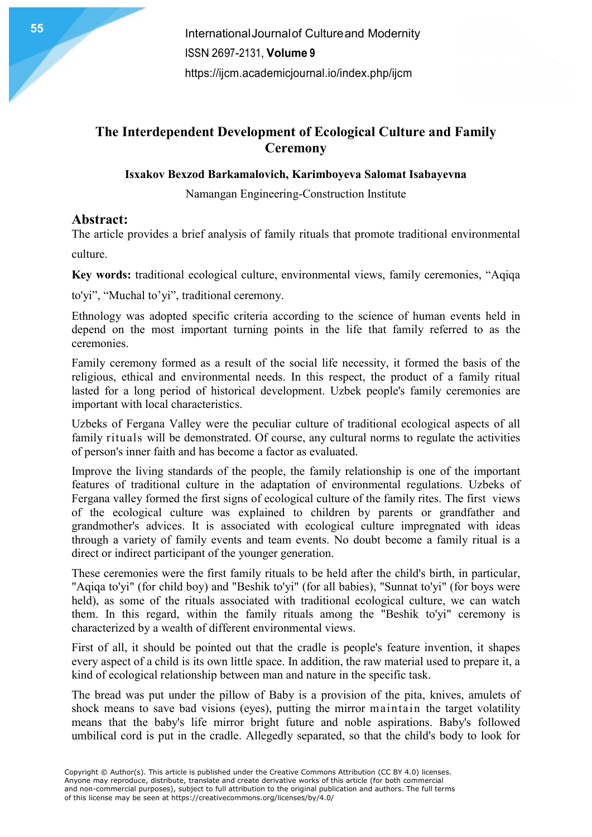## The Interdependent Development of Ecological Culture and Family **Ceremony**

### Isxakov Bexzod Barkamalovich, Karimboyeva Salomat Isabayevna

Namangan Engineering-Construction Institute

## Abstract:

The article provides a brief analysis of family rituals that promote traditional environmental

culture.

Key words: traditional ecological culture, environmental views, family ceremonies, "Aqiqa

to'yi", "Muchal to'yi", traditional ceremony.

Ethnology was adopted specific criteria according to the science of human events held in depend on the most important turning points in the life that family referred to as the ceremonies.

Family ceremony formed as a result of the social life necessity, it formed the basis of the religious, ethical and environmental needs. In this respect, the product of a family ritual lasted for a long period of historical development. Uzbek people's family ceremonies are important with local characteristics.

Uzbeks of Fergana Valley were the peculiar culture of traditional ecological aspects of all family rituals will be demonstrated. Of course, any cultural norms to regulate the activities of person's inner faith and has become a factor as evaluated.

Improve the living standards of the people, the family relationship is one of the important features of traditional culture in the adaptation of environmental regulations. Uzbeks of Fergana valley formed the first signs of ecological culture of the family rites. The first views of the ecological culture was explained to children by parents or grandfather and grandmother's advices. It is associated with ecological culture impregnated with ideas through a variety of family events and team events. No doubt become a family ritual is a direct or indirect participant of the younger generation.

These ceremonies were the first family rituals to be held after the child's birth, in particular, "Aqiqa to'yi" (for child boy) and "Beshik to'yi" (for all babies), "Sunnat to'yi" (for boys were held), as some of the rituals associated with traditional ecological culture, we can watch them. In this regard, within the family rituals among the "Beshik to'yi" ceremony is characterized by a wealth of different environmental views.

First of all, it should be pointed out that the cradle is people's feature invention, it shapes every aspect of a child is its own little space. In addition, the raw material used to prepare it, a kind of ecological relationship between man and nature in the specific task.

The bread was put under the pillow of Baby is a provision of the pita, knives, amulets of shock means to save bad visions (eyes), putting the mirror maintain the target volatility means that the baby's life mirror bright future and noble aspirations. Baby's followed umbilical cord is put in the cradle. Allegedly separated, so that the child's body to look for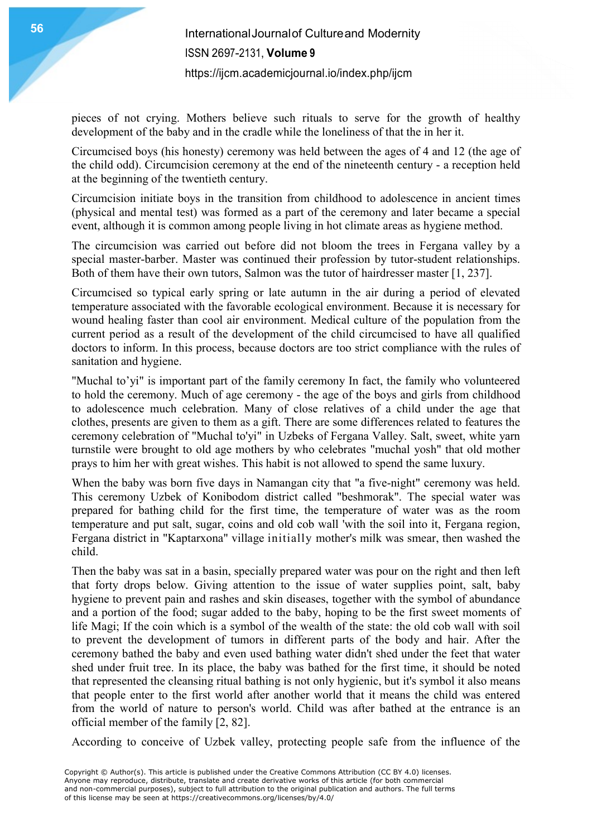pieces of not crying. Mothers believe such rituals to serve for the growth of healthy development of the baby and in the cradle while the loneliness of that the in her it.

Circumcised boys (his honesty) ceremony was held between the ages of 4 and 12 (the age of the child odd). Circumcision ceremony at the end of the nineteenth century - a reception held at the beginning of the twentieth century.

Circumcision initiate boys in the transition from childhood to adolescence in ancient times (physical and mental test) was formed as a part of the ceremony and later became a special event, although it is common among people living in hot climate areas as hygiene method.

The circumcision was carried out before did not bloom the trees in Fergana valley by a special master-barber. Master was continued their profession by tutor-student relationships. Both of them have their own tutors, Salmon was the tutor of hairdresser master [1, 237].

Circumcised so typical early spring or late autumn in the air during a period of elevated temperature associated with the favorable ecological environment. Because it is necessary for wound healing faster than cool air environment. Medical culture of the population from the current period as a result of the development of the child circumcised to have all qualified doctors to inform. In this process, because doctors are too strict compliance with the rules of sanitation and hygiene.

"Muchal to'yi" is important part of the family ceremony In fact, the family who volunteered to hold the ceremony. Much of age ceremony - the age of the boys and girls from childhood to adolescence much celebration. Many of close relatives of a child under the age that clothes, presents are given to them as a gift. There are some differences related to features the ceremony celebration of "Muchal to'yi" in Uzbeks of Fergana Valley. Salt, sweet, white yarn turnstile were brought to old age mothers by who celebrates "muchal yosh" that old mother prays to him her with great wishes. This habit is not allowed to spend the same luxury.

When the baby was born five days in Namangan city that "a five-night" ceremony was held. This ceremony Uzbek of Konibodom district called "beshmorak". The special water was prepared for bathing child for the first time, the temperature of water was as the room temperature and put salt, sugar, coins and old cob wall 'with the soil into it, Fergana region, Fergana district in "Kaptarxona" village initially mother's milk was smear, then washed the child.

Then the baby was sat in a basin, specially prepared water was pour on the right and then left that forty drops below. Giving attention to the issue of water supplies point, salt, baby hygiene to prevent pain and rashes and skin diseases, together with the symbol of abundance and a portion of the food; sugar added to the baby, hoping to be the first sweet moments of life Magi; If the coin which is a symbol of the wealth of the state: the old cob wall with soil to prevent the development of tumors in different parts of the body and hair. After the ceremony bathed the baby and even used bathing water didn't shed under the feet that water shed under fruit tree. In its place, the baby was bathed for the first time, it should be noted that represented the cleansing ritual bathing is not only hygienic, but it's symbol it also means that people enter to the first world after another world that it means the child was entered from the world of nature to person's world. Child was after bathed at the entrance is an official member of the family [2, 82].

According to conceive of Uzbek valley, protecting people safe from the influence of the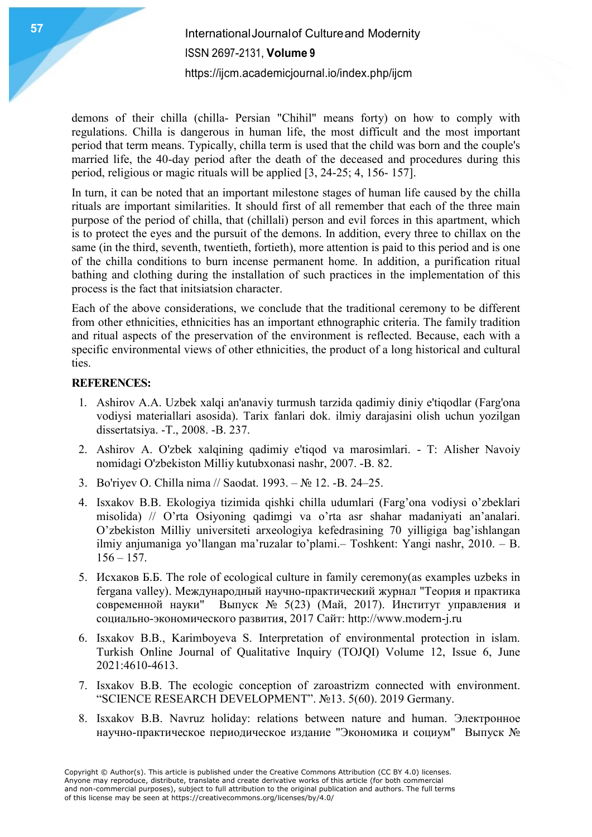# **International Journal of Culture and Modernity Andrew Street Advanced Street Area Advanced Area Advanced Area A** ISSN 2697-2131, Volume 9 https://ijcm.academicjournal.io/index.php/ijcm

demons of their chilla (chilla- Persian "Chihil" means forty) on how to comply with regulations. Chilla is dangerous in human life, the most difficult and the most important period that term means. Typically, chilla term is used that the child was born and the couple's married life, the 40-day period after the death of the deceased and procedures during this period, religious or magic rituals will be applied [3, 24-25; 4, 156- 157].

In turn, it can be noted that an important milestone stages of human life caused by the chilla rituals are important similarities. It should first of all remember that each of the three main purpose of the period of chilla, that (chillali) person and evil forces in this apartment, which is to protect the eyes and the pursuit of the demons. In addition, every three to chillax on the same (in the third, seventh, twentieth, fortieth), more attention is paid to this period and is one of the chilla conditions to burn incense permanent home. In addition, a purification ritual bathing and clothing during the installation of such practices in the implementation of this process is the fact that initsiatsion character.

Each of the above considerations, we conclude that the traditional ceremony to be different from other ethnicities, ethnicities has an important ethnographic criteria. The family tradition and ritual aspects of the preservation of the environment is reflected. Because, each with a specific environmental views of other ethnicities, the product of a long historical and cultural ties.

#### REFERENCES:

- 1. Ashirov A.A. Uzbek xalqi an'anaviy turmush tarzida qadimiy diniy e'tiqodlar (Farg'ona vodiysi materiallari asosida). Tarix fanlari dok. ilmiy darajasini olish uchun yozilgan dissertatsiya. -T., 2008. -B. 237.
- 2. Ashirov A. O'zbek xalqining qadimiy e'tiqod va marosimlari. T: Alisher Navoiy nomidagi O'zbekiston Milliy kutubxonasi nashr, 2007. -B. 82.
- 3. Bo'riyev O. Chilla nima // Saodat. 1993. № 12. -B. 24–25.
- 4. Isxakov B.B. Ekologiya tizimida qishki chilla udumlari (Farg'ona vodiysi o'zbeklari misolida) // O'rta Osiyoning qadimgi va o'rta asr shahar madaniyati an'analari. O'zbekiston Milliy universiteti arxeologiya kefedrasining 70 yilligiga bag'ishlangan ilmiy anjumaniga yo'llangan ma'ruzalar to'plami.– Toshkent: Yangi nashr, 2010. – B.  $156 - 157.$
- 5. Исхаков Б.Б. The role of ecological culture in family ceremony(as examples uzbeks in fergana valley). Международный научно-практический журнал "Теория и практика современной науки" Выпуск № 5(23) (Май, 2017). Институт управления и социально-экономического развития, 2017 Сайт: http://www.modern-j.ru
- 6. Isxakov B.B., Karimboyeva S. Interpretation of environmental protection in islam. Turkish Online Journal of Qualitative Inquiry (TOJQI) Volume 12, Issue 6, June 2021:4610-4613.
- 7. Isxakov B.B. The ecologic conception of zaroastrizm connected with environment. "SCIENCE RESEARCH DEVELOPMENT". №13. 5(60). 2019 Germany.
- 8. Isxakov B.B. Navruz holiday: relations between nature and human. Электронное научно-практическое периодическое издание "Экономика и социум" Выпуск №